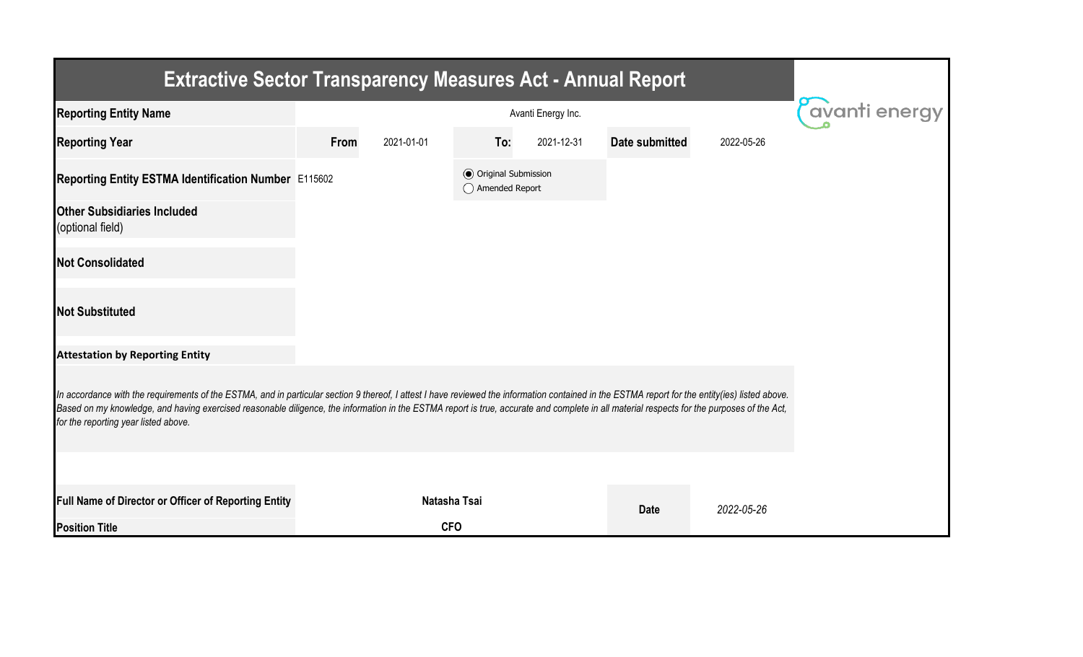| <b>Extractive Sector Transparency Measures Act - Annual Report</b>                                                                                                                                                                                                                                                                                                                                                                    |      |                |                                                  |            |                |            |  |  |  |  |
|---------------------------------------------------------------------------------------------------------------------------------------------------------------------------------------------------------------------------------------------------------------------------------------------------------------------------------------------------------------------------------------------------------------------------------------|------|----------------|--------------------------------------------------|------------|----------------|------------|--|--|--|--|
| <b>Reporting Entity Name</b>                                                                                                                                                                                                                                                                                                                                                                                                          |      | Pavanti energy |                                                  |            |                |            |  |  |  |  |
| <b>Reporting Year</b>                                                                                                                                                                                                                                                                                                                                                                                                                 | From | 2021-01-01     | To:                                              | 2021-12-31 | Date submitted | 2022-05-26 |  |  |  |  |
| Reporting Entity ESTMA Identification Number E115602                                                                                                                                                                                                                                                                                                                                                                                  |      |                | <b>◎</b> Original Submission<br>◯ Amended Report |            |                |            |  |  |  |  |
| <b>Other Subsidiaries Included</b><br>(optional field)                                                                                                                                                                                                                                                                                                                                                                                |      |                |                                                  |            |                |            |  |  |  |  |
| <b>Not Consolidated</b>                                                                                                                                                                                                                                                                                                                                                                                                               |      |                |                                                  |            |                |            |  |  |  |  |
| <b>Not Substituted</b>                                                                                                                                                                                                                                                                                                                                                                                                                |      |                |                                                  |            |                |            |  |  |  |  |
| <b>Attestation by Reporting Entity</b>                                                                                                                                                                                                                                                                                                                                                                                                |      |                |                                                  |            |                |            |  |  |  |  |
| In accordance with the requirements of the ESTMA, and in particular section 9 thereof, I attest I have reviewed the information contained in the ESTMA report for the entity(ies) listed above.<br>Based on my knowledge, and having exercised reasonable diligence, the information in the ESTMA report is true, accurate and complete in all material respects for the purposes of the Act,<br>for the reporting year listed above. |      |                |                                                  |            |                |            |  |  |  |  |
|                                                                                                                                                                                                                                                                                                                                                                                                                                       |      |                |                                                  |            |                |            |  |  |  |  |
| Full Name of Director or Officer of Reporting Entity                                                                                                                                                                                                                                                                                                                                                                                  |      | Natasha Tsai   |                                                  |            | <b>Date</b>    | 2022-05-26 |  |  |  |  |
| <b>Position Title</b>                                                                                                                                                                                                                                                                                                                                                                                                                 |      | <b>CFO</b>     |                                                  |            |                |            |  |  |  |  |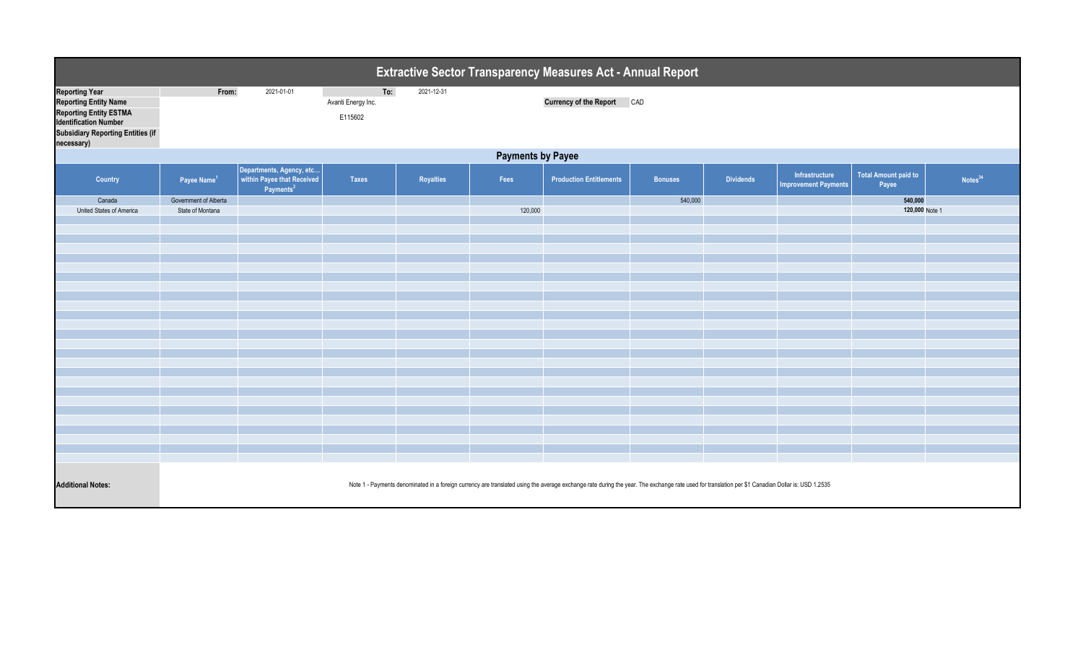| <b>Extractive Sector Transparency Measures Act - Annual Report</b>                                                                                                 |                                                                                                                                                                                                   |                                                                                       |                                      |                  |         |                                   |                |                  |                                        |                               |                     |
|--------------------------------------------------------------------------------------------------------------------------------------------------------------------|---------------------------------------------------------------------------------------------------------------------------------------------------------------------------------------------------|---------------------------------------------------------------------------------------|--------------------------------------|------------------|---------|-----------------------------------|----------------|------------------|----------------------------------------|-------------------------------|---------------------|
| <b>Reporting Year</b><br><b>Reporting Entity Name</b><br>Reporting Entity ESTMA<br>Identification Number<br><b>Subsidiary Reporting Entities (if</b><br>necessary) | From:                                                                                                                                                                                             | 2021-01-01                                                                            | To:<br>Avanti Energy Inc.<br>E115602 | 2021-12-31       |         | <b>Currency of the Report CAD</b> |                |                  |                                        |                               |                     |
| <b>Payments by Payee</b>                                                                                                                                           |                                                                                                                                                                                                   |                                                                                       |                                      |                  |         |                                   |                |                  |                                        |                               |                     |
| <b>Country</b>                                                                                                                                                     | Payee Name <sup>1</sup>                                                                                                                                                                           | Departments, Agency, etc  <br>  within Payee that Received  <br>Payments <sup>2</sup> | <b>Taxes</b>                         | <b>Royalties</b> | Fees    | <b>Production Entitlements</b>    | <b>Bonuses</b> | <b>Dividends</b> | Infrastructure<br>Improvement Payments | Total Amount paid to<br>Payee | Notes <sup>34</sup> |
| Canada                                                                                                                                                             | Government of Alberta                                                                                                                                                                             |                                                                                       |                                      |                  |         |                                   | 540,000        |                  |                                        | 540,000                       |                     |
| United States of America                                                                                                                                           | State of Montana                                                                                                                                                                                  |                                                                                       |                                      |                  | 120,000 |                                   |                |                  |                                        | 120,000 Note 1                |                     |
|                                                                                                                                                                    |                                                                                                                                                                                                   |                                                                                       |                                      |                  |         |                                   |                |                  |                                        |                               |                     |
|                                                                                                                                                                    |                                                                                                                                                                                                   |                                                                                       |                                      |                  |         |                                   |                |                  |                                        |                               |                     |
|                                                                                                                                                                    |                                                                                                                                                                                                   |                                                                                       |                                      |                  |         |                                   |                |                  |                                        |                               |                     |
|                                                                                                                                                                    |                                                                                                                                                                                                   |                                                                                       |                                      |                  |         |                                   |                |                  |                                        |                               |                     |
|                                                                                                                                                                    |                                                                                                                                                                                                   |                                                                                       |                                      |                  |         |                                   |                |                  |                                        |                               |                     |
|                                                                                                                                                                    |                                                                                                                                                                                                   |                                                                                       |                                      |                  |         |                                   |                |                  |                                        |                               |                     |
|                                                                                                                                                                    |                                                                                                                                                                                                   |                                                                                       |                                      |                  |         |                                   |                |                  |                                        |                               |                     |
|                                                                                                                                                                    |                                                                                                                                                                                                   |                                                                                       |                                      |                  |         |                                   |                |                  |                                        |                               |                     |
|                                                                                                                                                                    |                                                                                                                                                                                                   |                                                                                       |                                      |                  |         |                                   |                |                  |                                        |                               |                     |
|                                                                                                                                                                    |                                                                                                                                                                                                   |                                                                                       |                                      |                  |         |                                   |                |                  |                                        |                               |                     |
|                                                                                                                                                                    |                                                                                                                                                                                                   |                                                                                       |                                      |                  |         |                                   |                |                  |                                        |                               |                     |
|                                                                                                                                                                    |                                                                                                                                                                                                   |                                                                                       |                                      |                  |         |                                   |                |                  |                                        |                               |                     |
|                                                                                                                                                                    |                                                                                                                                                                                                   |                                                                                       |                                      |                  |         |                                   |                |                  |                                        |                               |                     |
|                                                                                                                                                                    |                                                                                                                                                                                                   |                                                                                       |                                      |                  |         |                                   |                |                  |                                        |                               |                     |
|                                                                                                                                                                    |                                                                                                                                                                                                   |                                                                                       |                                      |                  |         |                                   |                |                  |                                        |                               |                     |
|                                                                                                                                                                    |                                                                                                                                                                                                   |                                                                                       |                                      |                  |         |                                   |                |                  |                                        |                               |                     |
|                                                                                                                                                                    |                                                                                                                                                                                                   |                                                                                       |                                      |                  |         |                                   |                |                  |                                        |                               |                     |
|                                                                                                                                                                    |                                                                                                                                                                                                   |                                                                                       |                                      |                  |         |                                   |                |                  |                                        |                               |                     |
|                                                                                                                                                                    |                                                                                                                                                                                                   |                                                                                       |                                      |                  |         |                                   |                |                  |                                        |                               |                     |
|                                                                                                                                                                    |                                                                                                                                                                                                   |                                                                                       |                                      |                  |         |                                   |                |                  |                                        |                               |                     |
| <b>Additional Notes:</b>                                                                                                                                           | Note 1 - Payments denominated in a foreign currency are translated using the average exchange rate during the year. The exchange rate used for translation per \$1 Canadian Dollar is: USD 1.2535 |                                                                                       |                                      |                  |         |                                   |                |                  |                                        |                               |                     |